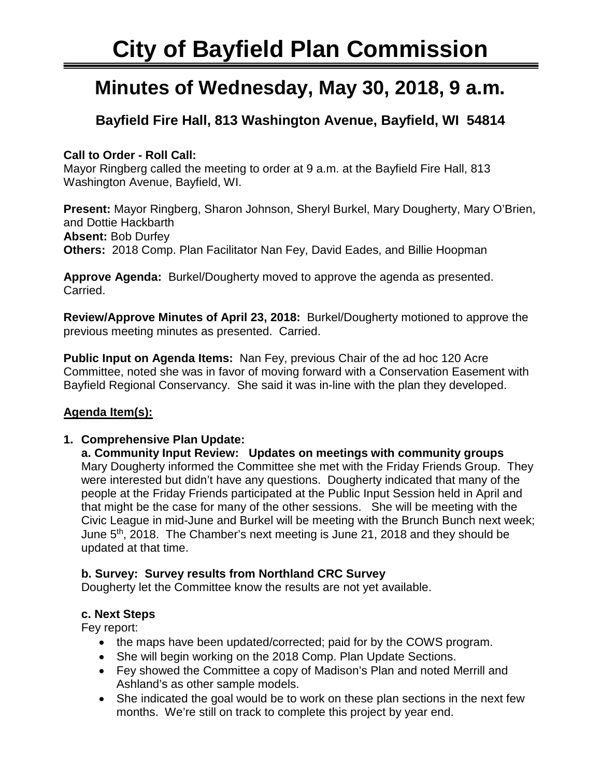# **City of Bayfield Plan Commission**

## **Minutes of Wednesday, May 30, 2018, 9 a.m.**

### **Bayfield Fire Hall, 813 Washington Avenue, Bayfield, WI 54814**

#### **Call to Order - Roll Call:**

Mayor Ringberg called the meeting to order at 9 a.m. at the Bayfield Fire Hall, 813 Washington Avenue, Bayfield, WI.

**Present:** Mayor Ringberg, Sharon Johnson, Sheryl Burkel, Mary Dougherty, Mary O'Brien, and Dottie Hackbarth **Absent:** Bob Durfey **Others:** 2018 Comp. Plan Facilitator Nan Fey, David Eades, and Billie Hoopman

**Approve Agenda:** Burkel/Dougherty moved to approve the agenda as presented. Carried.

**Review/Approve Minutes of April 23, 2018:** Burkel/Dougherty motioned to approve the previous meeting minutes as presented. Carried.

**Public Input on Agenda Items:** Nan Fey, previous Chair of the ad hoc 120 Acre Committee, noted she was in favor of moving forward with a Conservation Easement with Bayfield Regional Conservancy. She said it was in-line with the plan they developed.

#### **Agenda Item(s):**

#### **1. Comprehensive Plan Update:**

**a. Community Input Review: Updates on meetings with community groups** Mary Dougherty informed the Committee she met with the Friday Friends Group. They were interested but didn't have any questions. Dougherty indicated that many of the people at the Friday Friends participated at the Public Input Session held in April and that might be the case for many of the other sessions. She will be meeting with the Civic League in mid-June and Burkel will be meeting with the Brunch Bunch next week; June 5<sup>th</sup>, 2018. The Chamber's next meeting is June 21, 2018 and they should be updated at that time.

#### **b. Survey: Survey results from Northland CRC Survey**

Dougherty let the Committee know the results are not yet available.

#### **c. Next Steps**

Fey report:

- the maps have been updated/corrected; paid for by the COWS program.
- She will begin working on the 2018 Comp. Plan Update Sections.
- Fey showed the Committee a copy of Madison's Plan and noted Merrill and Ashland's as other sample models.
- She indicated the goal would be to work on these plan sections in the next few months. We're still on track to complete this project by year end.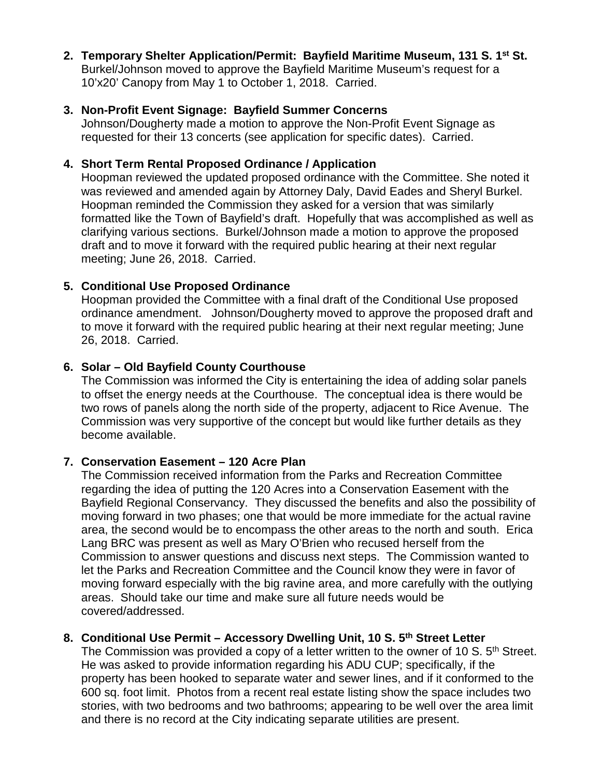**2. Temporary Shelter Application/Permit: Bayfield Maritime Museum, 131 S. 1st St.** Burkel/Johnson moved to approve the Bayfield Maritime Museum's request for a 10'x20' Canopy from May 1 to October 1, 2018. Carried.

#### **3. Non-Profit Event Signage: Bayfield Summer Concerns**

Johnson/Dougherty made a motion to approve the Non-Profit Event Signage as requested for their 13 concerts (see application for specific dates). Carried.

#### **4. Short Term Rental Proposed Ordinance / Application**

Hoopman reviewed the updated proposed ordinance with the Committee. She noted it was reviewed and amended again by Attorney Daly, David Eades and Sheryl Burkel. Hoopman reminded the Commission they asked for a version that was similarly formatted like the Town of Bayfield's draft. Hopefully that was accomplished as well as clarifying various sections. Burkel/Johnson made a motion to approve the proposed draft and to move it forward with the required public hearing at their next regular meeting; June 26, 2018. Carried.

#### **5. Conditional Use Proposed Ordinance**

Hoopman provided the Committee with a final draft of the Conditional Use proposed ordinance amendment. Johnson/Dougherty moved to approve the proposed draft and to move it forward with the required public hearing at their next regular meeting; June 26, 2018. Carried.

#### **6. Solar – Old Bayfield County Courthouse**

The Commission was informed the City is entertaining the idea of adding solar panels to offset the energy needs at the Courthouse. The conceptual idea is there would be two rows of panels along the north side of the property, adjacent to Rice Avenue. The Commission was very supportive of the concept but would like further details as they become available.

#### **7. Conservation Easement – 120 Acre Plan**

The Commission received information from the Parks and Recreation Committee regarding the idea of putting the 120 Acres into a Conservation Easement with the Bayfield Regional Conservancy. They discussed the benefits and also the possibility of moving forward in two phases; one that would be more immediate for the actual ravine area, the second would be to encompass the other areas to the north and south. Erica Lang BRC was present as well as Mary O'Brien who recused herself from the Commission to answer questions and discuss next steps. The Commission wanted to let the Parks and Recreation Committee and the Council know they were in favor of moving forward especially with the big ravine area, and more carefully with the outlying areas. Should take our time and make sure all future needs would be covered/addressed.

#### **8. Conditional Use Permit – Accessory Dwelling Unit, 10 S. 5th Street Letter**

The Commission was provided a copy of a letter written to the owner of 10 S. 5<sup>th</sup> Street. He was asked to provide information regarding his ADU CUP; specifically, if the property has been hooked to separate water and sewer lines, and if it conformed to the 600 sq. foot limit. Photos from a recent real estate listing show the space includes two stories, with two bedrooms and two bathrooms; appearing to be well over the area limit and there is no record at the City indicating separate utilities are present.